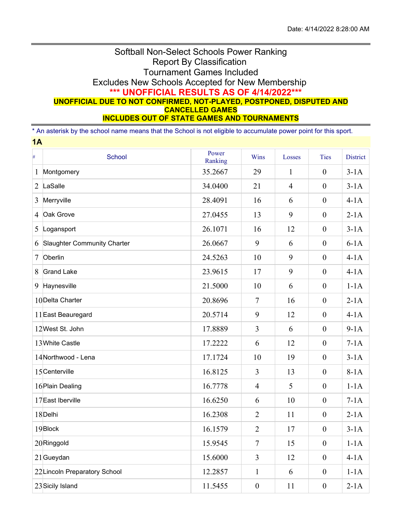## Softball Non-Select Schools Power Ranking Report By Classification Tournament Games Included Excludes New Schools Accepted for New Membership **\*\*\* UNOFFICIAL RESULTS AS OF 4/14/2022\*\*\* UNOFFICIAL DUE TO NOT CONFIRMED, NOT-PLAYED, POSTPONED, DISPUTED AND CANCELLED GAMES INCLUDES OUT OF STATE GAMES AND TOURNAMENTS**

\* An asterisk by the school name means that the School is not eligible to accumulate power point for this sport.

| 1A   |                                    |                  |                  |                |                  |                 |  |  |  |
|------|------------------------------------|------------------|------------------|----------------|------------------|-----------------|--|--|--|
| $\#$ | School                             | Power<br>Ranking | Wins             | Losses         | <b>Ties</b>      | <b>District</b> |  |  |  |
| 1    | Montgomery                         | 35.2667          | 29               | $\mathbf{1}$   | $\boldsymbol{0}$ | $3-1A$          |  |  |  |
| 2    | LaSalle                            | 34.0400          | 21               | $\overline{4}$ | $\mathbf{0}$     | $3-1A$          |  |  |  |
| 3    | Merryville                         | 28.4091          | 16               | 6              | $\boldsymbol{0}$ | $4-1A$          |  |  |  |
| 4    | Oak Grove                          | 27.0455          | 13               | 9              | $\boldsymbol{0}$ | $2-1A$          |  |  |  |
| 5    | Logansport                         | 26.1071          | 16               | 12             | $\boldsymbol{0}$ | $3-1A$          |  |  |  |
| 6    | <b>Slaughter Community Charter</b> | 26.0667          | 9                | 6              | $\mathbf{0}$     | $6-1A$          |  |  |  |
| 7    | Oberlin                            | 24.5263          | 10               | 9              | $\mathbf{0}$     | $4-1A$          |  |  |  |
| 8    | <b>Grand Lake</b>                  | 23.9615          | 17               | 9              | $\boldsymbol{0}$ | $4-1A$          |  |  |  |
| 9    | Haynesville                        | 21.5000          | 10               | 6              | $\boldsymbol{0}$ | $1-1A$          |  |  |  |
|      | 10Delta Charter                    | 20.8696          | $\overline{7}$   | 16             | $\mathbf{0}$     | $2-1A$          |  |  |  |
|      | 11 East Beauregard                 | 20.5714          | 9                | 12             | $\boldsymbol{0}$ | $4-1A$          |  |  |  |
|      | 12West St. John                    | 17.8889          | $\overline{3}$   | 6              | $\boldsymbol{0}$ | $9-1A$          |  |  |  |
|      | 13White Castle                     | 17.2222          | 6                | 12             | $\boldsymbol{0}$ | $7-1A$          |  |  |  |
|      | 14Northwood - Lena                 | 17.1724          | 10               | 19             | $\mathbf{0}$     | $3-1A$          |  |  |  |
|      | 15 Centerville                     | 16.8125          | $\overline{3}$   | 13             | $\overline{0}$   | $8-1A$          |  |  |  |
|      | 16 Plain Dealing                   | 16.7778          | $\overline{4}$   | 5              | $\boldsymbol{0}$ | $1-1A$          |  |  |  |
|      | 17 East Iberville                  | 16.6250          | 6                | 10             | $\boldsymbol{0}$ | $7-1A$          |  |  |  |
|      | 18Delhi                            | 16.2308          | $\overline{2}$   | 11             | $\boldsymbol{0}$ | $2-1A$          |  |  |  |
|      | 19Block                            | 16.1579          | $\overline{2}$   | 17             | $\boldsymbol{0}$ | $3-1A$          |  |  |  |
|      | 20Ringgold                         | 15.9545          | $\overline{7}$   | 15             | $\boldsymbol{0}$ | $1-1A$          |  |  |  |
|      | $21$ Gueydan                       | 15.6000          | $\mathfrak{Z}$   | 12             | $\overline{0}$   | $4-1A$          |  |  |  |
|      | 22 Lincoln Preparatory School      | 12.2857          | $\mathbf{1}$     | 6              | $\overline{0}$   | $1-1A$          |  |  |  |
|      | 23 Sicily Island                   | 11.5455          | $\boldsymbol{0}$ | 11             | $\overline{0}$   | $2-1A$          |  |  |  |